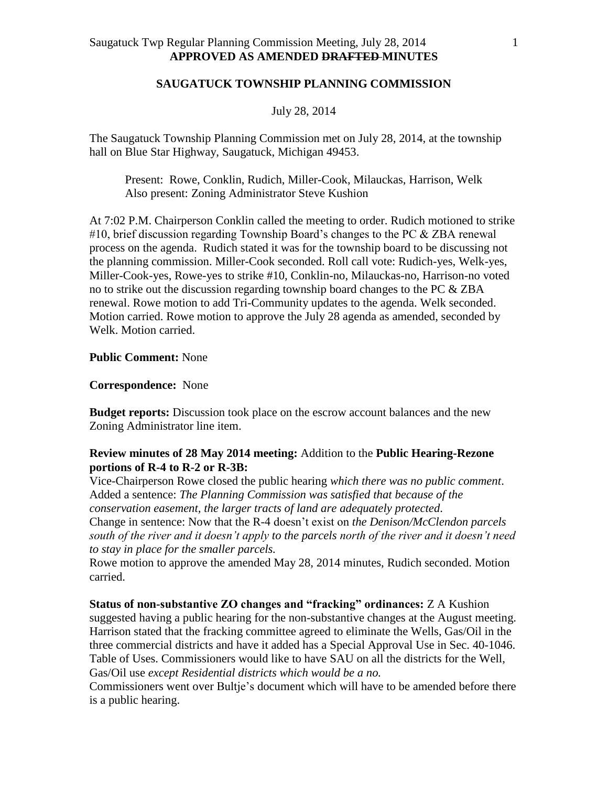### **SAUGATUCK TOWNSHIP PLANNING COMMISSION**

#### July 28, 2014

The Saugatuck Township Planning Commission met on July 28, 2014, at the township hall on Blue Star Highway, Saugatuck, Michigan 49453.

Present: Rowe, Conklin, Rudich, Miller-Cook, Milauckas, Harrison, Welk Also present: Zoning Administrator Steve Kushion

At 7:02 P.M. Chairperson Conklin called the meeting to order. Rudich motioned to strike #10, brief discussion regarding Township Board's changes to the PC & ZBA renewal process on the agenda. Rudich stated it was for the township board to be discussing not the planning commission. Miller-Cook seconded. Roll call vote: Rudich-yes, Welk-yes, Miller-Cook-yes, Rowe-yes to strike #10, Conklin-no, Milauckas-no, Harrison-no voted no to strike out the discussion regarding township board changes to the PC & ZBA renewal. Rowe motion to add Tri-Community updates to the agenda. Welk seconded. Motion carried. Rowe motion to approve the July 28 agenda as amended, seconded by Welk. Motion carried.

### **Public Comment:** None

#### **Correspondence:** None

**Budget reports:** Discussion took place on the escrow account balances and the new Zoning Administrator line item.

## **Review minutes of 28 May 2014 meeting:** Addition to the **Public Hearing-Rezone portions of R-4 to R-2 or R-3B:**

Vice-Chairperson Rowe closed the public hearing *which there was no public comment*. Added a sentence: *The Planning Commission was satisfied that because of the conservation easement, the larger tracts of land are adequately protected*. Change in sentence: Now that the R-4 doesn't exist on *the Denison/McClendon parcels south of the river and it doesn't apply to the parcels north of the river and it doesn't need to stay in place for the smaller parcels.* 

Rowe motion to approve the amended May 28, 2014 minutes, Rudich seconded. Motion carried.

## **Status of non-substantive ZO changes and "fracking" ordinances:** Z A Kushion suggested having a public hearing for the non-substantive changes at the August meeting. Harrison stated that the fracking committee agreed to eliminate the Wells, Gas/Oil in the three commercial districts and have it added has a Special Approval Use in Sec. 40-1046. Table of Uses. Commissioners would like to have SAU on all the districts for the Well, Gas/Oil use *except Residential districts which would be a no.*

Commissioners went over Bultje's document which will have to be amended before there is a public hearing.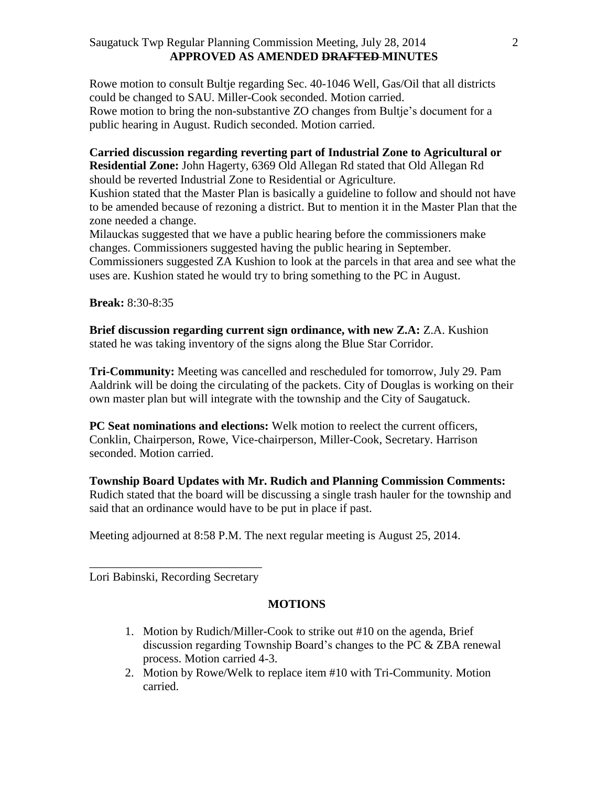## Saugatuck Twp Regular Planning Commission Meeting, July 28, 2014 **APPROVED AS AMENDED DRAFTED MINUTES**

Rowe motion to consult Bultje regarding Sec. 40-1046 Well, Gas/Oil that all districts could be changed to SAU. Miller-Cook seconded. Motion carried. Rowe motion to bring the non-substantive ZO changes from Bultje's document for a public hearing in August. Rudich seconded. Motion carried.

**Carried discussion regarding reverting part of Industrial Zone to Agricultural or Residential Zone:** John Hagerty, 6369 Old Allegan Rd stated that Old Allegan Rd should be reverted Industrial Zone to Residential or Agriculture.

Kushion stated that the Master Plan is basically a guideline to follow and should not have to be amended because of rezoning a district. But to mention it in the Master Plan that the zone needed a change.

Milauckas suggested that we have a public hearing before the commissioners make changes. Commissioners suggested having the public hearing in September. Commissioners suggested ZA Kushion to look at the parcels in that area and see what the uses are. Kushion stated he would try to bring something to the PC in August.

**Break:** 8:30-8:35

**Brief discussion regarding current sign ordinance, with new Z.A:** Z.A. Kushion stated he was taking inventory of the signs along the Blue Star Corridor.

**Tri-Community:** Meeting was cancelled and rescheduled for tomorrow, July 29. Pam Aaldrink will be doing the circulating of the packets. City of Douglas is working on their own master plan but will integrate with the township and the City of Saugatuck.

**PC Seat nominations and elections:** Welk motion to reelect the current officers, Conklin, Chairperson, Rowe, Vice-chairperson, Miller-Cook, Secretary. Harrison seconded. Motion carried.

**Township Board Updates with Mr. Rudich and Planning Commission Comments:**  Rudich stated that the board will be discussing a single trash hauler for the township and said that an ordinance would have to be put in place if past.

Meeting adjourned at 8:58 P.M. The next regular meeting is August 25, 2014.

\_\_\_\_\_\_\_\_\_\_\_\_\_\_\_\_\_\_\_\_\_\_\_\_\_\_\_\_\_ Lori Babinski, Recording Secretary

# **MOTIONS**

- 1. Motion by Rudich/Miller-Cook to strike out #10 on the agenda, Brief discussion regarding Township Board's changes to the PC & ZBA renewal process. Motion carried 4-3.
- 2. Motion by Rowe/Welk to replace item #10 with Tri-Community. Motion carried.